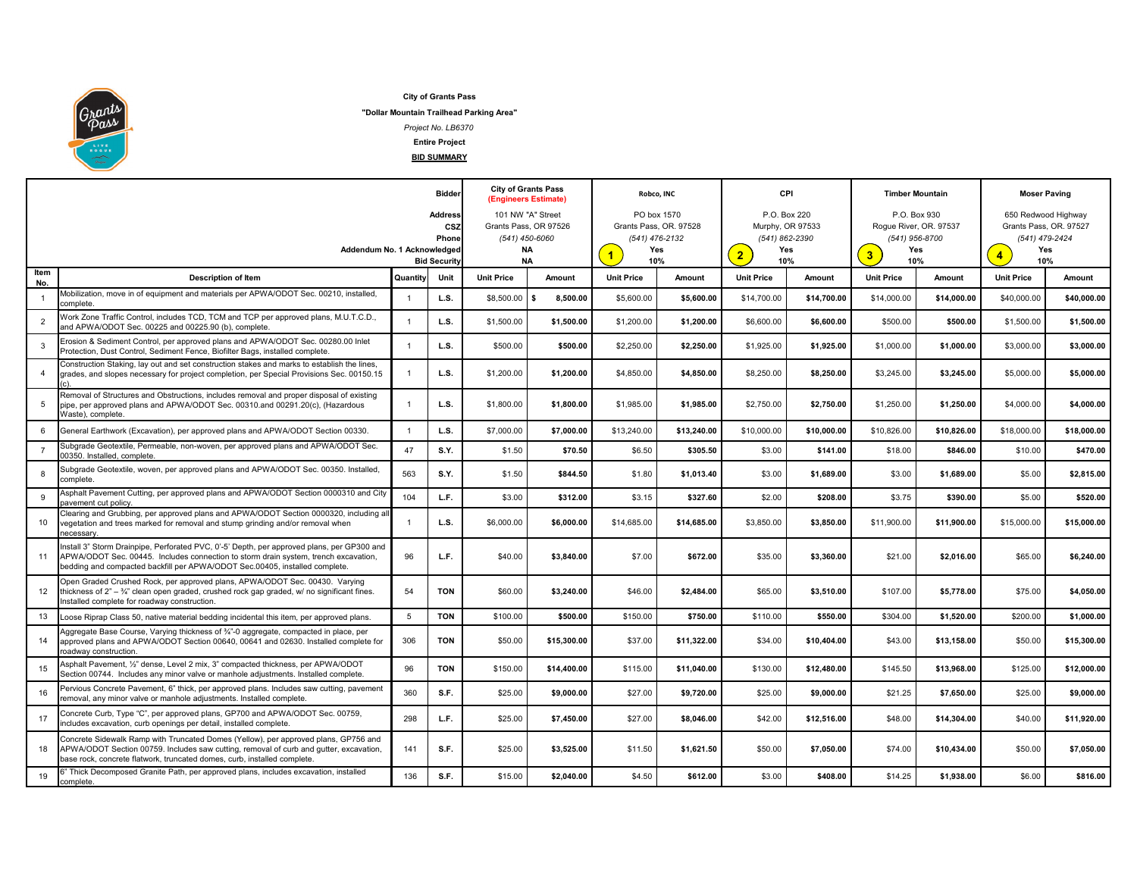

**City of Grants Pass**

**"Dollar Mountain Trailhead Parking Area"**

*Project No. LB6370*

**Entire Project**

**BID SUMMARY**

| <b>Address</b><br>101 NW "A" Street<br>PO box 1570<br>Grants Pass, OR. 97528<br>CSZ<br>Grants Pass, OR 97526<br>(541) 450-6060<br>(541) 476-2132<br>Phone<br>Addendum No. 1 Acknowledged<br><b>NA</b><br>Yes<br>$\blacktriangleleft$<br>2 <sub>2</sub><br><b>NA</b><br>10%<br><b>Bid Security</b><br>ltem<br>Quantity<br><b>Unit Price</b><br><b>Unit Price</b><br><b>Unit Price</b><br>Unit<br>Amount<br>Amount<br><b>Description of Item</b><br>No.<br>Mobilization, move in of equipment and materials per APWA/ODOT Sec. 00210, installed,<br>L.S.<br>\$8,500.00<br>s.<br>8,500.00<br>\$5,600.00<br>\$5,600.00<br>\$14,700.00<br>$\overline{1}$<br>complete. | P.O. Box 220<br>Murphy, OR 97533<br>(541) 862-2390<br>Yes<br>10%<br>Amount<br>\$14,700.00<br>\$6,600.00 | 3 <sup>2</sup><br><b>Unit Price</b> | P.O. Box 930<br>Roque River, OR. 97537<br>(541) 956-8700<br>Yes<br>10%<br>Amount | $\overline{4}$    |                                                                               |  |
|------------------------------------------------------------------------------------------------------------------------------------------------------------------------------------------------------------------------------------------------------------------------------------------------------------------------------------------------------------------------------------------------------------------------------------------------------------------------------------------------------------------------------------------------------------------------------------------------------------------------------------------------------------------|---------------------------------------------------------------------------------------------------------|-------------------------------------|----------------------------------------------------------------------------------|-------------------|-------------------------------------------------------------------------------|--|
|                                                                                                                                                                                                                                                                                                                                                                                                                                                                                                                                                                                                                                                                  |                                                                                                         |                                     |                                                                                  |                   | 650 Redwood Highway<br>Grants Pass, OR. 97527<br>(541) 479-2424<br>Yes<br>10% |  |
|                                                                                                                                                                                                                                                                                                                                                                                                                                                                                                                                                                                                                                                                  |                                                                                                         |                                     |                                                                                  | <b>Unit Price</b> | Amount                                                                        |  |
|                                                                                                                                                                                                                                                                                                                                                                                                                                                                                                                                                                                                                                                                  |                                                                                                         | \$14,000.00                         | \$14,000.00                                                                      | \$40,000.00       | \$40,000.00                                                                   |  |
| Work Zone Traffic Control, includes TCD, TCM and TCP per approved plans, M.U.T.C.D.,<br>L.S.<br>\$1,500.00<br>\$1,500.00<br>\$1,200.00<br>\$1,200.00<br>\$6,600.00<br>$\overline{2}$<br>$\overline{1}$<br>and APWA/ODOT Sec. 00225 and 00225.90 (b), complete.                                                                                                                                                                                                                                                                                                                                                                                                   |                                                                                                         | \$500.00                            | \$500.00                                                                         | \$1,500.00        | \$1,500.00                                                                    |  |
| Erosion & Sediment Control, per approved plans and APWA/ODOT Sec. 00280.00 Inlet<br>L.S.<br>\$500.00<br>\$500.00<br>\$2,250.00<br>\$2,250.00<br>\$1,925.00<br>3<br>$\overline{1}$<br>Protection, Dust Control, Sediment Fence, Biofilter Bags, installed complete.                                                                                                                                                                                                                                                                                                                                                                                               | \$1,925.00                                                                                              | \$1,000.00                          | \$1,000.00                                                                       | \$3,000.00        | \$3,000.00                                                                    |  |
| Construction Staking, lay out and set construction stakes and marks to establish the lines,<br>LS.<br>\$1,200.00<br>\$1,200.00<br>\$8,250.00<br>grades, and slopes necessary for project completion, per Special Provisions Sec. 00150.15<br>\$4,850.00<br>\$4,850.00<br>$\overline{4}$                                                                                                                                                                                                                                                                                                                                                                          | \$8,250.00                                                                                              | \$3,245.00                          | \$3,245.00                                                                       | \$5,000.00        | \$5,000.00                                                                    |  |
| Removal of Structures and Obstructions, includes removal and proper disposal of existing<br>LS.<br>\$1,800.00<br>\$1,800.00<br>\$1,985.00<br>\$1,985.00<br>\$2,750.00<br>5<br>pipe, per approved plans and APWA/ODOT Sec. 00310.and 00291.20(c), (Hazardous<br>-1<br>Naste), complete.                                                                                                                                                                                                                                                                                                                                                                           | \$2,750.00                                                                                              | \$1,250.00                          | \$1,250.00                                                                       | \$4,000.00        | \$4,000.00                                                                    |  |
| L.S.<br>\$7,000.00<br>\$7,000.00<br>\$13,240.00<br>\$10,000.00<br>6<br>General Earthwork (Excavation), per approved plans and APWA/ODOT Section 00330.<br>$\overline{1}$<br>\$13,240.00                                                                                                                                                                                                                                                                                                                                                                                                                                                                          | \$10,000.00                                                                                             | \$10,826.00                         | \$10,826.00                                                                      | \$18,000.00       | \$18,000.00                                                                   |  |
| Subgrade Geotextile, Permeable, non-woven, per approved plans and APWA/ODOT Sec.<br>47<br>$\overline{7}$<br>S.Y.<br>\$1.50<br>\$70.50<br>\$6.50<br>\$305.50<br>0350. Installed, complete.                                                                                                                                                                                                                                                                                                                                                                                                                                                                        | \$3.00<br>\$141.00                                                                                      | \$18.00                             | \$846.00                                                                         | \$10.00           | \$470.00                                                                      |  |
| Subgrade Geotextile, woven, per approved plans and APWA/ODOT Sec. 00350. Installed,<br>563<br>S.Y.<br>8<br>\$1.50<br>\$844.50<br>\$1.80<br>\$1.013.40<br>complete.                                                                                                                                                                                                                                                                                                                                                                                                                                                                                               | \$3.00<br>\$1.689.00                                                                                    | \$3.00                              | \$1.689.00                                                                       | \$5.00            | \$2,815.00                                                                    |  |
| Asphalt Pavement Cutting, per approved plans and APWA/ODOT Section 0000310 and City<br>104<br>9<br>L.F.<br>\$3.00<br>\$312.00<br>\$3.15<br>\$327.60<br>pavement cut policv.                                                                                                                                                                                                                                                                                                                                                                                                                                                                                      | \$2.00<br>\$208.00                                                                                      | \$3.75                              | \$390.00                                                                         | \$5.00            | \$520.00                                                                      |  |
| Clearing and Grubbing, per approved plans and APWA/ODOT Section 0000320, including all<br>L.S.<br>\$6,000.00<br>\$6,000.00<br>\$14,685.00<br>\$14,685.00<br>\$3,850.00<br>vegetation and trees marked for removal and stump grinding and/or removal when<br>10<br>$\overline{1}$<br>ecessary                                                                                                                                                                                                                                                                                                                                                                     | \$3,850.00                                                                                              | \$11,900.00                         | \$11,900.00                                                                      | \$15,000.00       | \$15,000.00                                                                   |  |
| Install 3" Storm Drainpipe, Perforated PVC, 0'-5' Depth, per approved plans, per GP300 and<br>L.F.<br>APWA/ODOT Sec. 00445. Includes connection to storm drain system, trench excavation,<br>96<br>\$40.00<br>\$3,840.00<br>\$7.00<br>\$672.00<br>11<br>bedding and compacted backfill per APWA/ODOT Sec.00405, installed complete.                                                                                                                                                                                                                                                                                                                              | \$35.00<br>\$3,360.00                                                                                   | \$21.00                             | \$2,016.00                                                                       | \$65.00           | \$6,240.00                                                                    |  |
| Open Graded Crushed Rock, per approved plans, APWA/ODOT Sec. 00430. Varying<br>54<br><b>TON</b><br>\$60.00<br>\$3,240.00<br>\$46.00<br>\$2,484.00<br>12<br>thickness of $2n - \frac{3}{4}$ " clean open graded, crushed rock gap graded, w/ no significant fines.<br>Installed complete for roadway construction.                                                                                                                                                                                                                                                                                                                                                | \$65.00<br>\$3,510.00                                                                                   | \$107.00                            | \$5,778.00                                                                       | \$75.00           | \$4,050.00                                                                    |  |
| 5<br><b>TON</b><br>\$100.00<br>\$500.00<br>\$150.00<br>\$110.00<br>13<br>\$750.00<br>oose Riprap Class 50, native material bedding incidental this item, per approved plans.                                                                                                                                                                                                                                                                                                                                                                                                                                                                                     | \$550.00                                                                                                | \$304.00                            | \$1,520.00                                                                       | \$200.00          | \$1,000.00                                                                    |  |
| Aggregate Base Course, Varying thickness of 34"-0 aggregate, compacted in place, per<br>approved plans and APWA/ODOT Section 00640, 00641 and 02630. Installed complete for<br>306<br><b>TON</b><br>\$50.00<br>\$15,300.00<br>\$37.00<br>\$11,322.00<br>14<br>roadway construction.                                                                                                                                                                                                                                                                                                                                                                              | \$34.00<br>\$10,404.00                                                                                  | \$43.00                             | \$13,158.00                                                                      | \$50.00           | \$15,300.00                                                                   |  |
| Asphalt Pavement, 1/2" dense, Level 2 mix, 3" compacted thickness, per APWA/ODOT<br>96<br><b>TON</b><br>\$14,400.00<br>\$130.00<br>\$150.00<br>\$115.00<br>\$11,040.00<br>Section 00744. Includes any minor valve or manhole adjustments. Installed complete.                                                                                                                                                                                                                                                                                                                                                                                                    | \$12,480.00                                                                                             | \$145.50                            | \$13,968.00                                                                      | \$125.00          | \$12,000.00                                                                   |  |
| Pervious Concrete Pavement, 6" thick, per approved plans. Includes saw cutting, pavement<br>360<br>S.F.<br>\$25.00<br>\$27.00<br>\$9.000.00<br>\$9,720.00<br>16<br>removal, any minor valve or manhole adjustments. Installed complete.                                                                                                                                                                                                                                                                                                                                                                                                                          | \$25.00<br>\$9.000.00                                                                                   | \$21.25                             | \$7.650.00                                                                       | \$25.00           | \$9,000.00                                                                    |  |
| Concrete Curb, Type "C", per approved plans, GP700 and APWA/ODOT Sec. 00759,<br>298<br>L.F.<br>\$25.00<br>\$7,450.00<br>\$27.00<br>17<br>\$8,046.00<br>includes excavation, curb openings per detail, installed complete.                                                                                                                                                                                                                                                                                                                                                                                                                                        | \$42.00<br>\$12,516.00                                                                                  | \$48.00                             | \$14,304.00                                                                      | \$40.00           | \$11,920.00                                                                   |  |
| Concrete Sidewalk Ramp with Truncated Domes (Yellow), per approved plans, GP756 and<br>S.F.<br>\$25.00<br>\$3,525.00<br>\$11.50<br>\$1,621.50<br>18<br>APWA/ODOT Section 00759. Includes saw cutting, removal of curb and gutter, excavation,<br>141<br>base rock, concrete flatwork, truncated domes, curb, installed complete.                                                                                                                                                                                                                                                                                                                                 | \$50.00<br>\$7,050.00                                                                                   | \$74.00                             | \$10,434.00                                                                      | \$50.00           | \$7,050.00                                                                    |  |
| " Thick Decomposed Granite Path, per approved plans, includes excavation, installed<br>136<br>S.F.<br>\$15.00<br>\$4.50<br>19<br>\$2,040.00<br>\$612.00<br>complete.                                                                                                                                                                                                                                                                                                                                                                                                                                                                                             | \$3.00<br>\$408.00                                                                                      | \$14.25                             | \$1,938.00                                                                       | \$6.00            | \$816.00                                                                      |  |